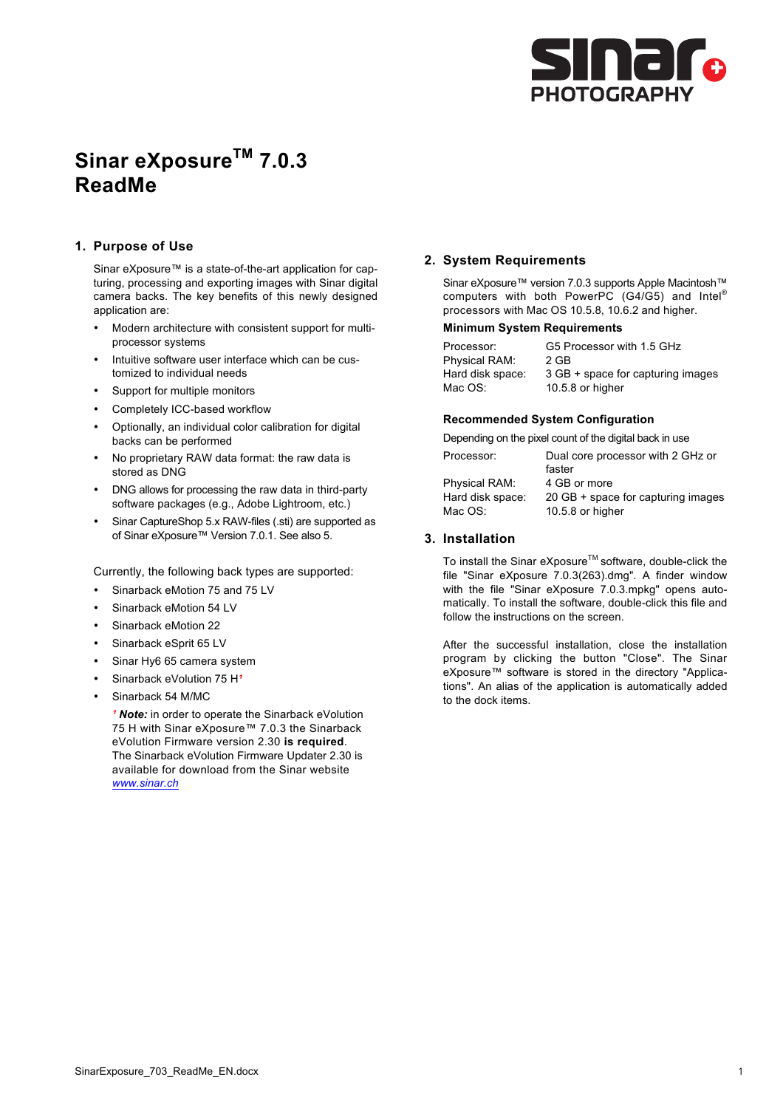

# **Sinar eXposureTM 7.0.3 ReadMe**

## **1. Purpose of Use**

Sinar eXposure™ is a state-of-the-art application for capturing, processing and exporting images with Sinar digital camera backs. The key benefits of this newly designed application are:

- Modern architecture with consistent support for multiprocessor systems
- Intuitive software user interface which can be customized to individual needs
- Support for multiple monitors
- Completely ICC-based workflow
- Optionally, an individual color calibration for digital backs can be performed
- No proprietary RAW data format: the raw data is stored as DNG
- DNG allows for processing the raw data in third-party software packages (e.g., Adobe Lightroom, etc.)
- Sinar CaptureShop 5.x RAW-files (.sti) are supported as of Sinar eXposure™ Version 7.0.1. See also 5.

Currently, the following back types are supported:

- Sinarback eMotion 75 and 75 LV
- Sinarback eMotion 54 LV
- Sinarback eMotion 22
- Sinarback eSprit 65 LV
- Sinar Hy6 65 camera system
- Sinarback eVolution 75 H<sup>2</sup>
- Sinarback 54 M/MC

<sup>1</sup> Note: in order to operate the Sinarback eVolution 75 H with Sinar eXposure™ 7.0.3 the Sinarback eVolution Firmware version 2.30 **is required**. The Sinarback eVolution Firmware Updater 2.30 is available for download from the Sinar website *www.sinar.ch*

### **2. System Requirements**

Sinar eXposure™ version 7.0.3 supports Apple Macintosh™ computers with both PowerPC (G4/G5) and Intel® processors with Mac OS 10.5.8, 10.6.2 and higher.

#### **Minimum System Requirements**

| Processor:       | G5 Processor with 1.5 GHz         |
|------------------|-----------------------------------|
| Physical RAM:    | 2 GB                              |
| Hard disk space: | 3 GB + space for capturing images |
| Mac OS:          | 10.5.8 or higher                  |

#### **Recommended System Configuration**

Depending on the pixel count of the digital back in use

| Processor:       | Dual core processor with 2 GHz or  |
|------------------|------------------------------------|
|                  | faster                             |
| Physical RAM:    | 4 GB or more                       |
| Hard disk space: | 20 GB + space for capturing images |
| Mac OS:          | 10.5.8 or higher                   |
|                  |                                    |

### **3. Installation**

To install the Sinar eXposure™ software, double-click the file "Sinar eXposure 7.0.3(263).dmg". A finder window with the file "Sinar eXposure 7.0.3.mpkg" opens automatically. To install the software, double-click this file and follow the instructions on the screen.

After the successful installation, close the installation program by clicking the button "Close". The Sinar eXposure™ software is stored in the directory "Applications". An alias of the application is automatically added to the dock items.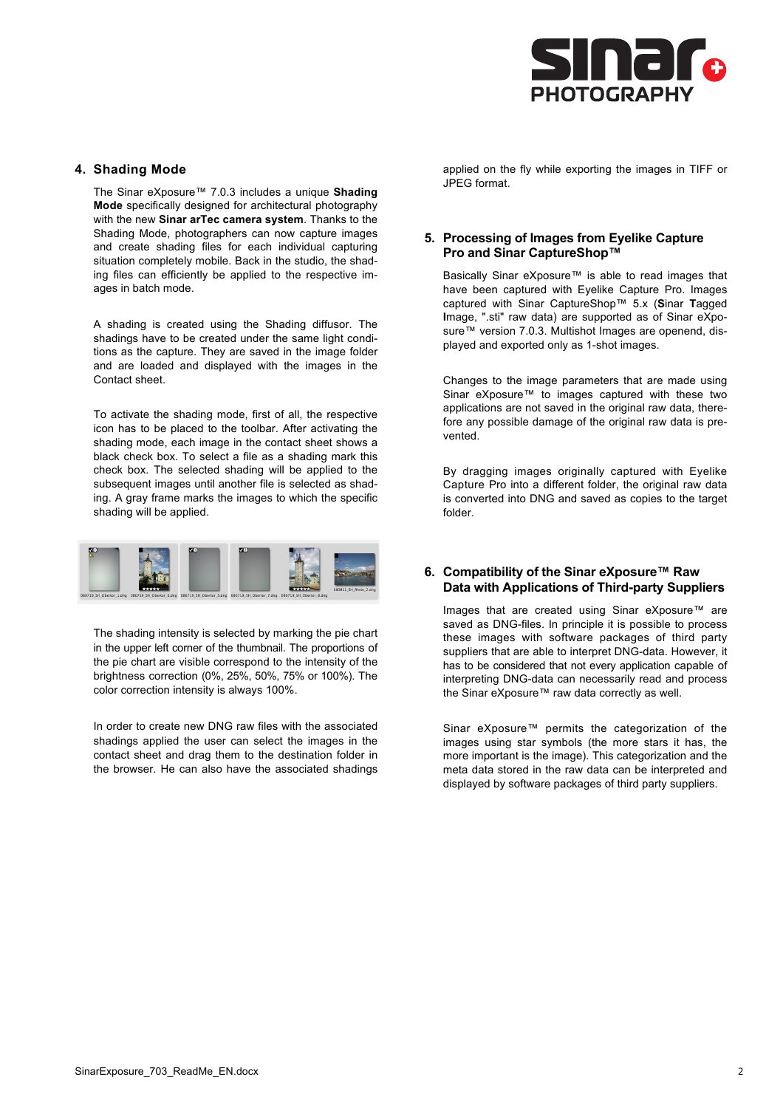

#### **4. Shading Mode**

The Sinar eXposure™ 7.0.3 includes a unique **Shading Mode** specifically designed for architectural photography with the new **Sinar arTec camera system**. Thanks to the Shading Mode, photographers can now capture images and create shading files for each individual capturing situation completely mobile. Back in the studio, the shading files can efficiently be applied to the respective images in batch mode.

A shading is created using the Shading diffusor. The shadings have to be created under the same light conditions as the capture. They are saved in the image folder and are loaded and displayed with the images in the Contact sheet.

To activate the shading mode, first of all, the respective icon has to be placed to the toolbar. After activating the shading mode, each image in the contact sheet shows a black check box. To select a file as a shading mark this check box. The selected shading will be applied to the subsequent images until another file is selected as shading. A gray frame marks the images to which the specific shading will be applied.



The shading intensity is selected by marking the pie chart in the upper left corner of the thumbnail. The proportions of the pie chart are visible correspond to the intensity of the brightness correction (0%, 25%, 50%, 75% or 100%). The color correction intensity is always 100%.

In order to create new DNG raw files with the associated shadings applied the user can select the images in the contact sheet and drag them to the destination folder in the browser. He can also have the associated shadings

applied on the fly while exporting the images in TIFF or JPEG format.

## **5. Processing of Images from Eyelike Capture Pro and Sinar CaptureShop™**

Basically Sinar eXposure™ is able to read images that have been captured with Eyelike Capture Pro. Images captured with Sinar CaptureShop™ 5.x (**S**inar **T**agged **I**mage, ".sti" raw data) are supported as of Sinar eXposure™ version 7.0.3. Multishot Images are openend, displayed and exported only as 1-shot images.

Changes to the image parameters that are made using Sinar eXposure™ to images captured with these two applications are not saved in the original raw data, therefore any possible damage of the original raw data is prevented.

By dragging images originally captured with Eyelike Capture Pro into a different folder, the original raw data is converted into DNG and saved as copies to the target folder.

### **6. Compatibility of the Sinar eXposure™ Raw Data with Applications of Third-party Suppliers**

Images that are created using Sinar eXposure™ are saved as DNG-files. In principle it is possible to process these images with software packages of third party suppliers that are able to interpret DNG-data. However, it has to be considered that not every application capable of interpreting DNG-data can necessarily read and process the Sinar eXposure™ raw data correctly as well.

Sinar eXposure™ permits the categorization of the images using star symbols (the more stars it has, the more important is the image). This categorization and the meta data stored in the raw data can be interpreted and displayed by software packages of third party suppliers.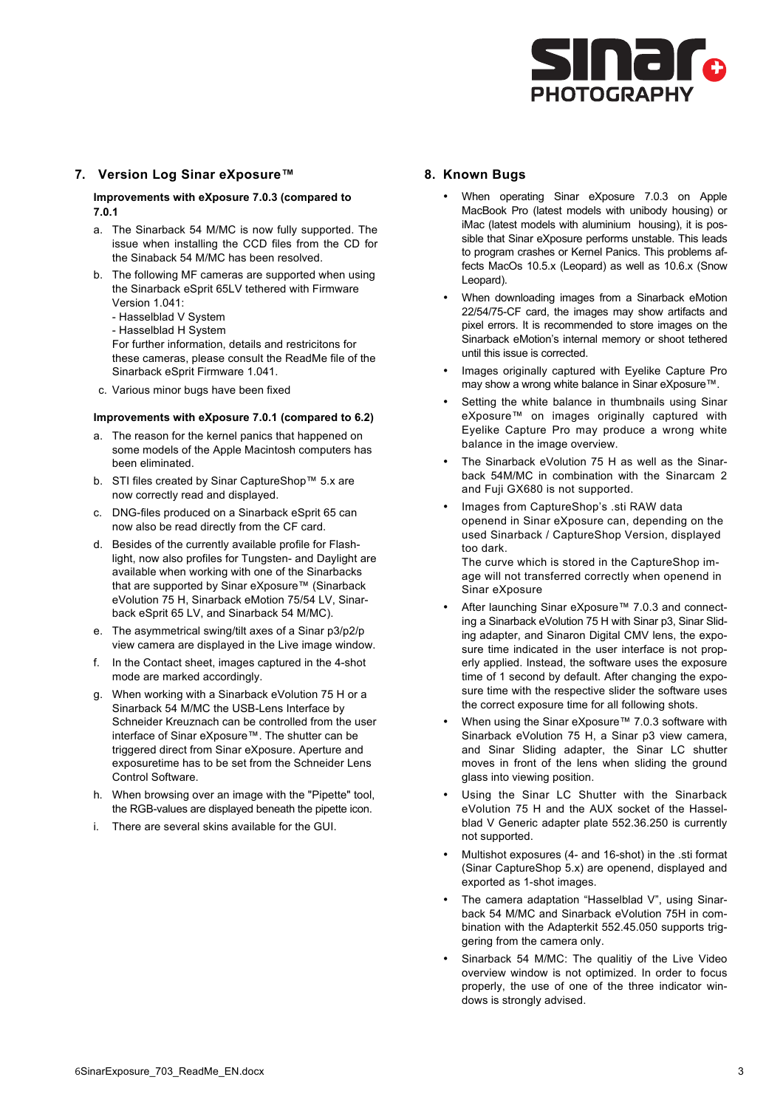

## **7. Version Log Sinar eXposure™**

**Improvements with eXposure 7.0.3 (compared to 7.0.1**

- a. The Sinarback 54 M/MC is now fully supported. The issue when installing the CCD files from the CD for the Sinaback 54 M/MC has been resolved.
- b. The following MF cameras are supported when using the Sinarback eSprit 65LV tethered with Firmware Version 1.041:
	- Hasselblad V System
	- Hasselblad H System

For further information, details and restricitons for these cameras, please consult the ReadMe file of the Sinarback eSprit Firmware 1.041.

c. Various minor bugs have been fixed

#### **Improvements with eXposure 7.0.1 (compared to 6.2)**

- a. The reason for the kernel panics that happened on some models of the Apple Macintosh computers has been eliminated.
- b. STI files created by Sinar CaptureShop™ 5.x are now correctly read and displayed.
- c. DNG-files produced on a Sinarback eSprit 65 can now also be read directly from the CF card.
- d. Besides of the currently available profile for Flashlight, now also profiles for Tungsten- and Daylight are available when working with one of the Sinarbacks that are supported by Sinar eXposure™ (Sinarback eVolution 75 H, Sinarback eMotion 75/54 LV, Sinarback eSprit 65 LV, and Sinarback 54 M/MC).
- e. The asymmetrical swing/tilt axes of a Sinar p3/p2/p view camera are displayed in the Live image window.
- f. In the Contact sheet, images captured in the 4-shot mode are marked accordingly.
- g. When working with a Sinarback eVolution 75 H or a Sinarback 54 M/MC the USB-Lens Interface by Schneider Kreuznach can be controlled from the user interface of Sinar eXposure™. The shutter can be triggered direct from Sinar eXposure. Aperture and exposuretime has to be set from the Schneider Lens Control Software.
- h. When browsing over an image with the "Pipette" tool, the RGB-values are displayed beneath the pipette icon.
- There are several skins available for the GUI.

#### **8. Known Bugs**

- When operating Sinar eXposure 7.0.3 on Apple MacBook Pro (latest models with unibody housing) or iMac (latest models with aluminium housing), it is possible that Sinar eXposure performs unstable. This leads to program crashes or Kernel Panics. This problems affects MacOs 10.5.x (Leopard) as well as 10.6.x (Snow Leopard).
- When downloading images from a Sinarback eMotion 22/54/75-CF card, the images may show artifacts and pixel errors. It is recommended to store images on the Sinarback eMotion's internal memory or shoot tethered until this issue is corrected.
- Images originally captured with Eyelike Capture Pro may show a wrong white balance in Sinar eXposure™.
- Setting the white balance in thumbnails using Sinar eXposure™ on images originally captured with Eyelike Capture Pro may produce a wrong white balance in the image overview.
- The Sinarback eVolution 75 H as well as the Sinarback 54M/MC in combination with the Sinarcam 2 and Fuji GX680 is not supported.
- Images from CaptureShop's .sti RAW data openend in Sinar eXposure can, depending on the used Sinarback / CaptureShop Version, displayed too dark.

The curve which is stored in the CaptureShop image will not transferred correctly when openend in Sinar eXposure

- After launching Sinar eXposure™ 7.0.3 and connecting a Sinarback eVolution 75 H with Sinar p3, Sinar Sliding adapter, and Sinaron Digital CMV lens, the exposure time indicated in the user interface is not properly applied. Instead, the software uses the exposure time of 1 second by default. After changing the exposure time with the respective slider the software uses the correct exposure time for all following shots.
- When using the Sinar eXposure™ 7.0.3 software with Sinarback eVolution 75 H, a Sinar p3 view camera, and Sinar Sliding adapter, the Sinar LC shutter moves in front of the lens when sliding the ground glass into viewing position.
- Using the Sinar LC Shutter with the Sinarback eVolution 75 H and the AUX socket of the Hasselblad V Generic adapter plate 552.36.250 is currently not supported.
- Multishot exposures (4- and 16-shot) in the .sti format (Sinar CaptureShop 5.x) are openend, displayed and exported as 1-shot images.
- The camera adaptation "Hasselblad V", using Sinarback 54 M/MC and Sinarback eVolution 75H in combination with the Adapterkit 552.45.050 supports triggering from the camera only.
- Sinarback 54 M/MC: The qualitiy of the Live Video overview window is not optimized. In order to focus properly, the use of one of the three indicator windows is strongly advised.